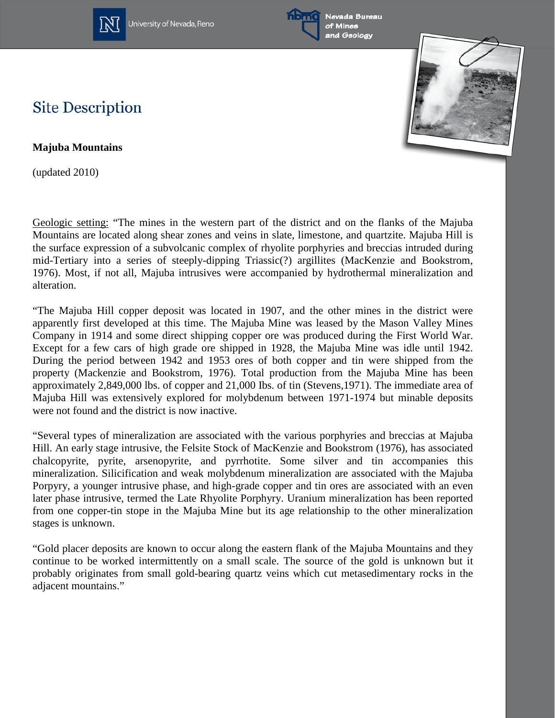

University of Nevada, Reno





## **Site Description**

**Majuba Mountains**

(updated 2010)

Geologic setting: "The mines in the western part of the district and on the flanks of the Majuba Mountains are located along shear zones and veins in slate, limestone, and quartzite. Majuba Hill is the surface expression of a subvolcanic complex of rhyolite porphyries and breccias intruded during mid-Tertiary into a series of steeply-dipping Triassic(?) argillites (MacKenzie and Bookstrom, 1976). Most, if not all, Majuba intrusives were accompanied by hydrothermal mineralization and alteration.

"The Majuba Hill copper deposit was located in 1907, and the other mines in the district were apparently first developed at this time. The Majuba Mine was leased by the Mason Valley Mines Company in 1914 and some direct shipping copper ore was produced during the First World War. Except for a few cars of high grade ore shipped in 1928, the Majuba Mine was idle until 1942. During the period between 1942 and 1953 ores of both copper and tin were shipped from the property (Mackenzie and Bookstrom, 1976). Total production from the Majuba Mine has been approximately 2,849,000 lbs. of copper and 21,000 Ibs. of tin (Stevens,1971). The immediate area of Majuba Hill was extensively explored for molybdenum between 1971-1974 but minable deposits were not found and the district is now inactive.

"Several types of mineralization are associated with the various porphyries and breccias at Majuba Hill. An early stage intrusive, the Felsite Stock of MacKenzie and Bookstrom (1976), has associated chalcopyrite, pyrite, arsenopyrite, and pyrrhotite. Some silver and tin accompanies this mineralization. Silicification and weak molybdenum mineralization are associated with the Majuba Porpyry, a younger intrusive phase, and high-grade copper and tin ores are associated with an even later phase intrusive, termed the Late Rhyolite Porphyry. Uranium mineralization has been reported from one copper-tin stope in the Majuba Mine but its age relationship to the other mineralization stages is unknown.

"Gold placer deposits are known to occur along the eastern flank of the Majuba Mountains and they continue to be worked intermittently on a small scale. The source of the gold is unknown but it probably originates from small gold-bearing quartz veins which cut metasedimentary rocks in the adjacent mountains."